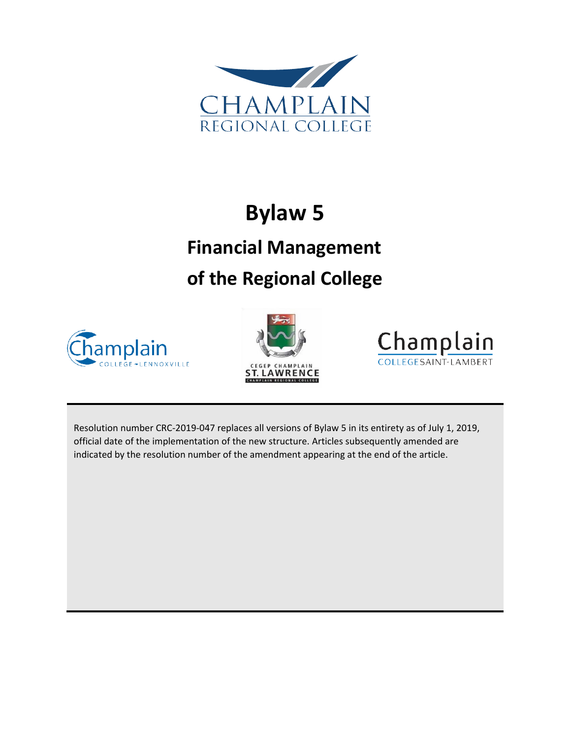

# **Bylaw 5**

# **Financial Management of the Regional College**







Resolution number CRC-2019-047 replaces all versions of Bylaw 5 in its entirety as of July 1, 2019, official date of the implementation of the new structure. Articles subsequently amended are indicated by the resolution number of the amendment appearing at the end of the article.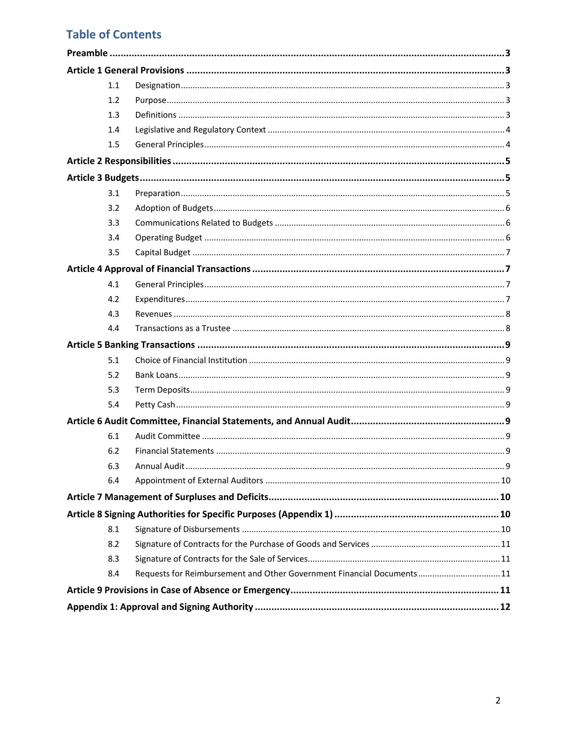## **Table of Contents**

| 1.1              |                                                                        |  |
|------------------|------------------------------------------------------------------------|--|
| 1.2              |                                                                        |  |
| $1.3\phantom{0}$ |                                                                        |  |
| 1.4              |                                                                        |  |
| 1.5              |                                                                        |  |
|                  |                                                                        |  |
|                  |                                                                        |  |
| 3.1              |                                                                        |  |
| 3.2              |                                                                        |  |
| 3.3              |                                                                        |  |
| 3.4              |                                                                        |  |
| 3.5              |                                                                        |  |
|                  |                                                                        |  |
| 4.1              |                                                                        |  |
| 4.2              |                                                                        |  |
| 4.3              |                                                                        |  |
| 4.4              |                                                                        |  |
|                  |                                                                        |  |
| 5.1              |                                                                        |  |
| 5.2              |                                                                        |  |
| 5.3              |                                                                        |  |
| 5.4              |                                                                        |  |
|                  |                                                                        |  |
| 6.1              |                                                                        |  |
| 6.2              |                                                                        |  |
| 6.3              |                                                                        |  |
| 6.4              |                                                                        |  |
|                  |                                                                        |  |
|                  |                                                                        |  |
| 8.1              |                                                                        |  |
| 8.2              |                                                                        |  |
| 8.3              |                                                                        |  |
| 8.4              | Requests for Reimbursement and Other Government Financial Documents 11 |  |
|                  |                                                                        |  |
|                  |                                                                        |  |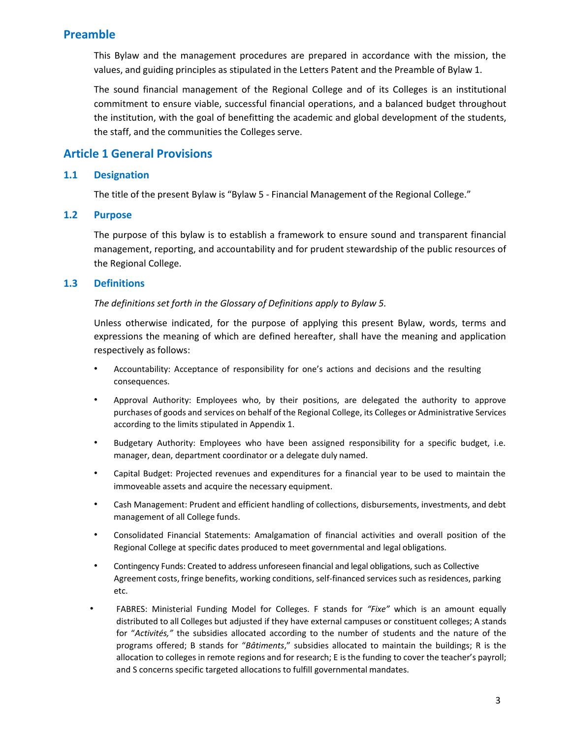## <span id="page-2-0"></span>**Preamble**

This Bylaw and the management procedures are prepared in accordance with the mission, the values, and guiding principles as stipulated in the Letters Patent and the Preamble of Bylaw 1.

The sound financial management of the Regional College and of its Colleges is an institutional commitment to ensure viable, successful financial operations, and a balanced budget throughout the institution, with the goal of benefitting the academic and global development of the students, the staff, and the communities the Colleges serve.

## <span id="page-2-1"></span>**Article 1 General Provisions**

#### <span id="page-2-2"></span>**1.1 Designation**

The title of the present Bylaw is "Bylaw 5 - Financial Management of the Regional College."

#### <span id="page-2-3"></span>**1.2 Purpose**

The purpose of this bylaw is to establish a framework to ensure sound and transparent financial management, reporting, and accountability and for prudent stewardship of the public resources of the Regional College.

#### <span id="page-2-4"></span>**1.3 Definitions**

#### *The definitions set forth in the Glossary of Definitions apply to Bylaw 5.*

Unless otherwise indicated, for the purpose of applying this present Bylaw, words, terms and expressions the meaning of which are defined hereafter, shall have the meaning and application respectively as follows:

- Accountability: Acceptance of responsibility for one's actions and decisions and the resulting consequences.
- Approval Authority: Employees who, by their positions, are delegated the authority to approve purchases of goods and services on behalf of the Regional College, its Colleges or Administrative Services according to the limits stipulated in Appendix 1.
- Budgetary Authority: Employees who have been assigned responsibility for a specific budget, i.e. manager, dean, department coordinator or a delegate duly named.
- Capital Budget: Projected revenues and expenditures for a financial year to be used to maintain the immoveable assets and acquire the necessary equipment.
- Cash Management: Prudent and efficient handling of collections, disbursements, investments, and debt management of all College funds.
- Consolidated Financial Statements: Amalgamation of financial activities and overall position of the Regional College at specific dates produced to meet governmental and legal obligations.
- Contingency Funds: Created to address unforeseen financial and legal obligations, such as Collective Agreement costs, fringe benefits, working conditions, self-financed services such as residences, parking etc.
- FABRES: Ministerial Funding Model for Colleges. F stands for *"Fixe"* which is an amount equally distributed to all Colleges but adjusted if they have external campuses or constituent colleges; A stands for "*Activités,"* the subsidies allocated according to the number of students and the nature of the programs offered; B stands for "*Bâtiments*," subsidies allocated to maintain the buildings; R is the allocation to colleges in remote regions and for research; E isthe funding to cover the teacher's payroll; and S concerns specific targeted allocations to fulfill governmental mandates.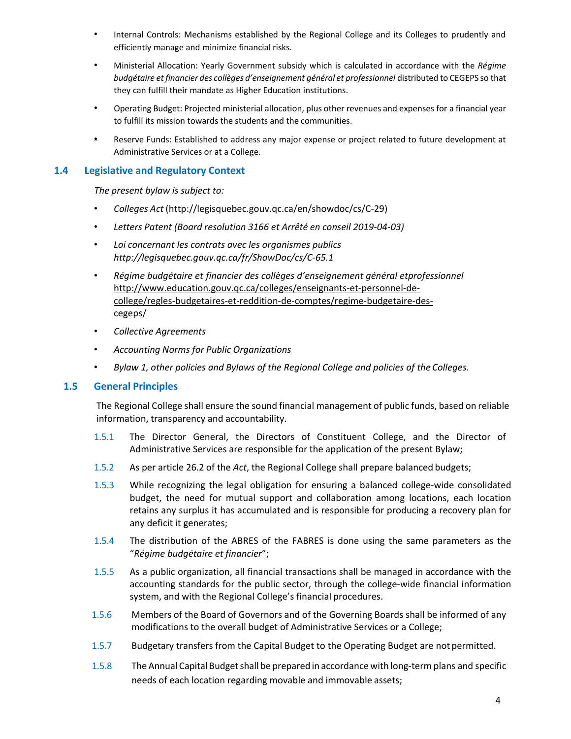- Internal Controls: Mechanisms established by the Regional College and its Colleges to prudently and efficiently manage and minimize financial risks.
- Ministerial Allocation: Yearly Government subsidy which is calculated in accordance with the *Régime budgétaire et financier des collèges d'enseignement général et professionnel* distributed to CEGEPS so that they can fulfill their mandate as Higher Education institutions.
- Operating Budget: Projected ministerial allocation, plus other revenues and expenses for a financial year to fulfill its mission towards the students and the communities.
- Reserve Funds: Established to address any major expense or project related to future development at Administrative Services or at a College.

#### <span id="page-3-0"></span>**1.4 Legislative and Regulatory Context**

*The present bylaw is subject to:*

- *Colleges Act* [\(http:](http://legisquebec.gouv.qc.ca/en/ShowDoc/cs/C-29))[//legisquebec.gouv.qc.ca/en/showdoc/cs/C-29\)](http://legisquebec.gouv.qc.ca/en/ShowDoc/cs/C-29)
- *Letters Patent (Board resolution 3166 et Arrêté en conseil 2019-04-03)*
- *Loi concernant les contrats avec les organismes publics <http://legisquebec.gouv.qc.ca/fr/ShowDoc/cs/C-65.1>*
- *Régime budgétaire et financier des collèges d'enseignement général etprofessionnel* [http://www.education.gouv.qc.ca/colleges/enseignants-et-personnel-de](http://www.education.gouv.qc.ca/colleges/enseignants-et-personnel-de-college/regles-budgetaires-et-reddition-de-comptes/regime-budgetaire-des-cegeps/)[college/regles-budgetaires-et-reddition-de-comptes/regime-budgetaire-des](http://www.education.gouv.qc.ca/colleges/enseignants-et-personnel-de-college/regles-budgetaires-et-reddition-de-comptes/regime-budgetaire-des-cegeps/)[cegeps/](http://www.education.gouv.qc.ca/colleges/enseignants-et-personnel-de-college/regles-budgetaires-et-reddition-de-comptes/regime-budgetaire-des-cegeps/)
- *Collective Agreements*
- *Accounting Norms for Public Organizations*
- *Bylaw 1, other policies and Bylaws of the Regional College and policies of the Colleges.*

#### <span id="page-3-1"></span>**1.5 General Principles**

The Regional College shall ensure the sound financial management of public funds, based on reliable information, transparency and accountability.

- 1.5.1 The Director General, the Directors of Constituent College, and the Director of Administrative Services are responsible for the application of the present Bylaw;
- 1.5.2 As per article 26.2 of the *Act*, the Regional College shall prepare balanced budgets;
- 1.5.3 While recognizing the legal obligation for ensuring a balanced college-wide consolidated budget, the need for mutual support and collaboration among locations, each location retains any surplus it has accumulated and is responsible for producing a recovery plan for any deficit it generates;
- 1.5.4 The distribution of the ABRES of the FABRES is done using the same parameters as the "*Régime budgétaire et financier*";
- 1.5.5 As a public organization, all financial transactions shall be managed in accordance with the accounting standards for the public sector, through the college-wide financial information system, and with the Regional College's financial procedures.
- 1.5.6 Members of the Board of Governors and of the Governing Boards shall be informed of any modifications to the overall budget of Administrative Services or a College;
- 1.5.7 Budgetary transfers from the Capital Budget to the Operating Budget are not permitted.
- 1.5.8 The Annual Capital Budgetshall be prepared in accordance with long-term plans and specific needs of each location regarding movable and immovable assets;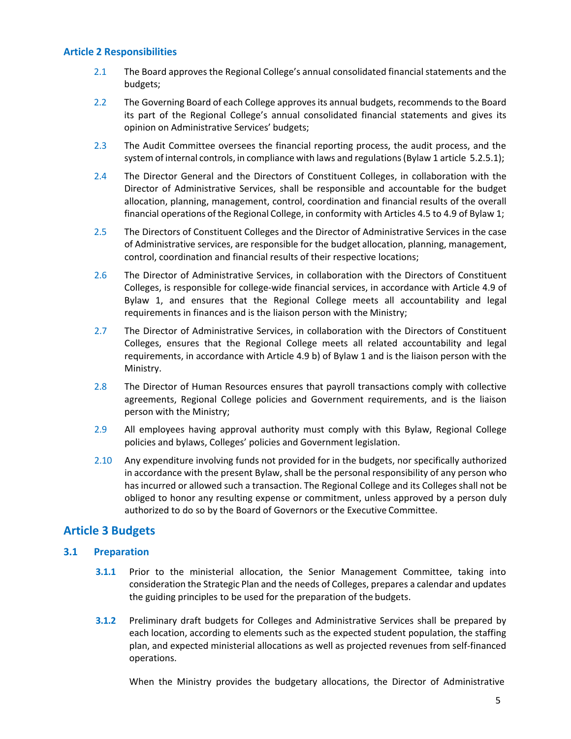#### <span id="page-4-0"></span>**Article 2 Responsibilities**

- 2.1 The Board approves the Regional College's annual consolidated financial statements and the budgets;
- 2.2 The Governing Board of each College approves its annual budgets, recommends to the Board its part of the Regional College's annual consolidated financial statements and gives its opinion on Administrative Services' budgets;
- 2.3 The Audit Committee oversees the financial reporting process, the audit process, and the system of internal controls, in compliance with laws and regulations (Bylaw 1 article 5.2.5.1);
- 2.4 The Director General and the Directors of Constituent Colleges, in collaboration with the Director of Administrative Services, shall be responsible and accountable for the budget allocation, planning, management, control, coordination and financial results of the overall financial operations of the Regional College, in conformity with Articles 4.5 to 4.9 of Bylaw 1;
- 2.5 The Directors of Constituent Colleges and the Director of Administrative Services in the case of Administrative services, are responsible for the budget allocation, planning, management, control, coordination and financial results of their respective locations;
- 2.6 The Director of Administrative Services, in collaboration with the Directors of Constituent Colleges, is responsible for college-wide financial services, in accordance with Article 4.9 of Bylaw 1, and ensures that the Regional College meets all accountability and legal requirements in finances and is the liaison person with the Ministry;
- 2.7 The Director of Administrative Services, in collaboration with the Directors of Constituent Colleges, ensures that the Regional College meets all related accountability and legal requirements, in accordance with Article 4.9 b) of Bylaw 1 and is the liaison person with the Ministry.
- 2.8 The Director of Human Resources ensures that payroll transactions comply with collective agreements, Regional College policies and Government requirements, and is the liaison person with the Ministry;
- 2.9 All employees having approval authority must comply with this Bylaw, Regional College policies and bylaws, Colleges' policies and Government legislation.
- 2.10 Any expenditure involving funds not provided for in the budgets, nor specifically authorized in accordance with the present Bylaw, shall be the personal responsibility of any person who has incurred or allowed such a transaction. The Regional College and its Colleges shall not be obliged to honor any resulting expense or commitment, unless approved by a person duly authorized to do so by the Board of Governors or the Executive Committee.

### <span id="page-4-1"></span>**Article 3 Budgets**

#### <span id="page-4-2"></span>**3.1 Preparation**

- **3.1.1** Prior to the ministerial allocation, the Senior Management Committee, taking into consideration the Strategic Plan and the needs of Colleges, prepares a calendar and updates the guiding principles to be used for the preparation of the budgets.
- **3.1.2** Preliminary draft budgets for Colleges and Administrative Services shall be prepared by each location, according to elements such as the expected student population, the staffing plan, and expected ministerial allocations as well as projected revenues from self-financed operations.

When the Ministry provides the budgetary allocations, the Director of Administrative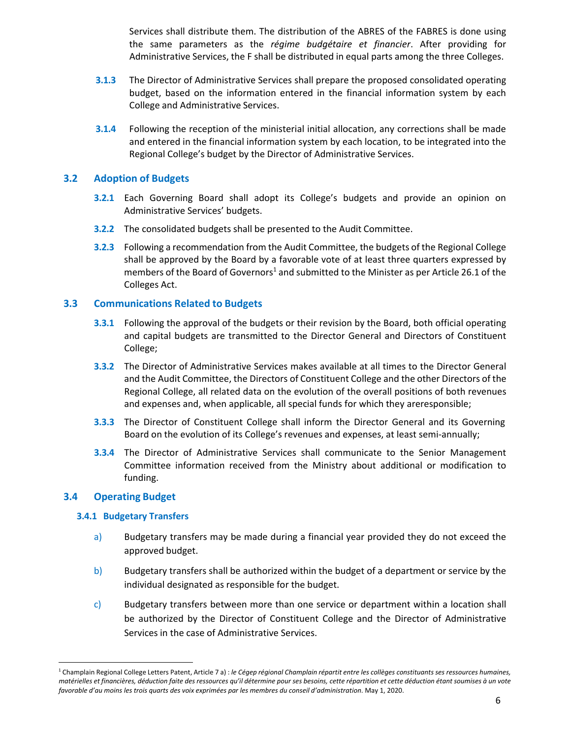Services shall distribute them. The distribution of the ABRES of the FABRES is done using the same parameters as the *régime budgétaire et financier*. After providing for Administrative Services, the F shall be distributed in equal parts among the three Colleges.

- **3.1.3** The Director of Administrative Services shall prepare the proposed consolidated operating budget, based on the information entered in the financial information system by each College and Administrative Services.
- **3.1.4** Following the reception of the ministerial initial allocation, any corrections shall be made and entered in the financial information system by each location, to be integrated into the Regional College's budget by the Director of Administrative Services.

#### <span id="page-5-0"></span>**3.2 Adoption of Budgets**

- **3.2.1** Each Governing Board shall adopt its College's budgets and provide an opinion on Administrative Services' budgets.
- **3.2.2** The consolidated budgets shall be presented to the Audit Committee.
- **3.2.3** Following a recommendation from the Audit Committee, the budgets of the Regional College shall be approved by the Board by a favorable vote of at least three quarters expressed by members of the Board of Governors<sup>1</sup> and submitted to the Minister as per Article 26.1 of the Colleges Act.

#### <span id="page-5-1"></span>**3.3 Communications Related to Budgets**

- **3.3.1** Following the approval of the budgets or their revision by the Board, both official operating and capital budgets are transmitted to the Director General and Directors of Constituent College;
- **3.3.2** The Director of Administrative Services makes available at all times to the Director General and the Audit Committee, the Directors of Constituent College and the other Directors of the Regional College, all related data on the evolution of the overall positions of both revenues and expenses and, when applicable, all special funds for which they areresponsible;
- **3.3.3** The Director of Constituent College shall inform the Director General and its Governing Board on the evolution of its College's revenues and expenses, at least semi-annually;
- **3.3.4** The Director of Administrative Services shall communicate to the Senior Management Committee information received from the Ministry about additional or modification to funding.

#### <span id="page-5-2"></span>**3.4 Operating Budget**

#### **3.4.1 Budgetary Transfers**

- a) Budgetary transfers may be made during a financial year provided they do not exceed the approved budget.
- b) Budgetary transfers shall be authorized within the budget of a department or service by the individual designated as responsible for the budget.
- c) Budgetary transfers between more than one service or department within a location shall be authorized by the Director of Constituent College and the Director of Administrative Services in the case of Administrative Services.

<span id="page-5-3"></span><sup>&</sup>lt;sup>1</sup> Champlain Regional College Letters Patent, Article 7 a) : le Cégep régional Champlain répartit entre les collèges constituants ses ressources humaines, matérielles et financières, déduction faite des ressources qu'il détermine pour ses besoins, cette répartition et cette déduction étant soumises à un vote *favorable d'au moins les trois quarts des voix exprimées par les membres du conseil d'administration*. May 1, 2020.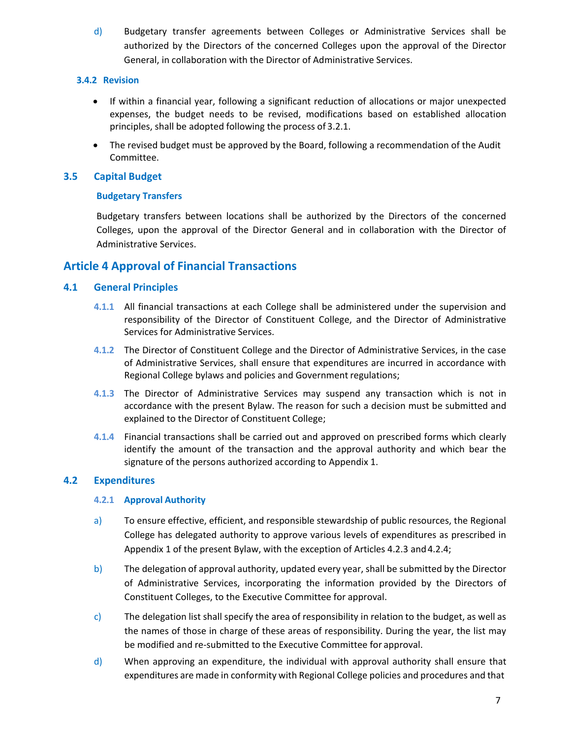d) Budgetary transfer agreements between Colleges or Administrative Services shall be authorized by the Directors of the concerned Colleges upon the approval of the Director General, in collaboration with the Director of Administrative Services.

#### **3.4.2 Revision**

- If within a financial year, following a significant reduction of allocations or major unexpected expenses, the budget needs to be revised, modifications based on established allocation principles, shall be adopted following the process of 3.2.1.
- The revised budget must be approved by the Board, following a recommendation of the Audit Committee.

#### <span id="page-6-0"></span>**3.5 Capital Budget**

#### **Budgetary Transfers**

Budgetary transfers between locations shall be authorized by the Directors of the concerned Colleges, upon the approval of the Director General and in collaboration with the Director of Administrative Services.

## <span id="page-6-1"></span>**Article 4 Approval of Financial Transactions**

#### **4.1 General Principles**

- **4.1.1** All financial transactions at each College shall be administered under the supervision and responsibility of the Director of Constituent College, and the Director of Administrative Services for Administrative Services.
- **4.1.2** The Director of Constituent College and the Director of Administrative Services, in the case of Administrative Services, shall ensure that expenditures are incurred in accordance with Regional College bylaws and policies and Government regulations;
- **4.1.3** The Director of Administrative Services may suspend any transaction which is not in accordance with the present Bylaw. The reason for such a decision must be submitted and explained to the Director of Constituent College;
- **4.1.4** Financial transactions shall be carried out and approved on prescribed forms which clearly identify the amount of the transaction and the approval authority and which bear the signature of the persons authorized according to Appendix 1.

#### <span id="page-6-2"></span>**4.2 Expenditures**

#### **4.2.1 Approval Authority**

- a) To ensure effective, efficient, and responsible stewardship of public resources, the Regional College has delegated authority to approve various levels of expenditures as prescribed in Appendix 1 of the present Bylaw, with the exception of Articles 4.2.3 and 4.2.4;
- b) The delegation of approval authority, updated every year, shall be submitted by the Director of Administrative Services, incorporating the information provided by the Directors of Constituent Colleges, to the Executive Committee for approval.
- c) The delegation list shall specify the area of responsibility in relation to the budget, as well as the names of those in charge of these areas of responsibility. During the year, the list may be modified and re-submitted to the Executive Committee for approval.
- d) When approving an expenditure, the individual with approval authority shall ensure that expenditures are made in conformity with Regional College policies and procedures and that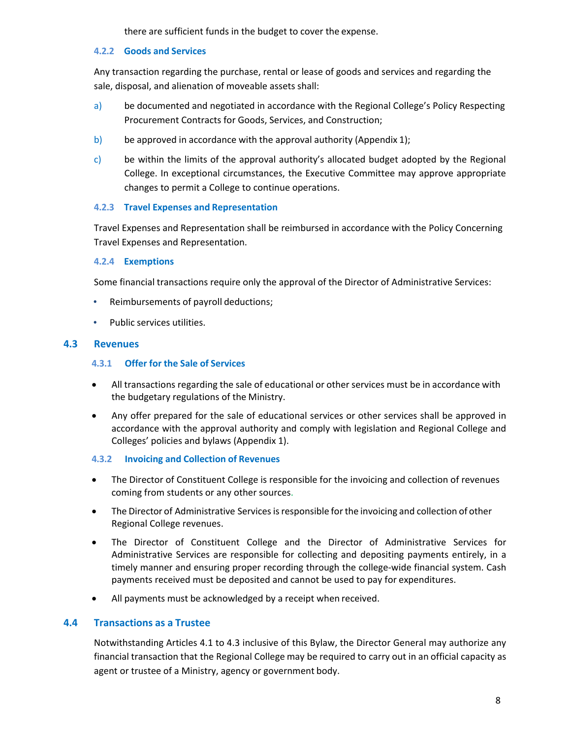there are sufficient funds in the budget to cover the expense.

#### **4.2.2 Goods and Services**

Any transaction regarding the purchase, rental or lease of goods and services and regarding the sale, disposal, and alienation of moveable assets shall:

- a) be documented and negotiated in accordance with the Regional College's Policy Respecting Procurement Contracts for Goods, Services, and Construction;
- b) be approved in accordance with the approval authority (Appendix 1);
- c) be within the limits of the approval authority's allocated budget adopted by the Regional College. In exceptional circumstances, the Executive Committee may approve appropriate changes to permit a College to continue operations.

#### **4.2.3 Travel Expenses and Representation**

Travel Expenses and Representation shall be reimbursed in accordance with the Policy Concerning Travel Expenses and Representation.

#### **4.2.4 Exemptions**

Some financial transactions require only the approval of the Director of Administrative Services:

- Reimbursements of payroll deductions;
- Public services utilities.

#### <span id="page-7-0"></span>**4.3 Revenues**

#### **4.3.1 Offer for the Sale of Services**

- All transactions regarding the sale of educational or other services must be in accordance with the budgetary regulations of the Ministry.
- Any offer prepared for the sale of educational services or other services shall be approved in accordance with the approval authority and comply with legislation and Regional College and Colleges' policies and bylaws (Appendix 1).

#### **4.3.2 Invoicing and Collection of Revenues**

- The Director of Constituent College is responsible for the invoicing and collection of revenues coming from students or any other sources.
- The Director of Administrative Services is responsible for the invoicing and collection of other Regional College revenues.
- The Director of Constituent College and the Director of Administrative Services for Administrative Services are responsible for collecting and depositing payments entirely, in a timely manner and ensuring proper recording through the college-wide financial system. Cash payments received must be deposited and cannot be used to pay for expenditures.
- All payments must be acknowledged by a receipt when received.

#### <span id="page-7-1"></span>**4.4 Transactions as a Trustee**

Notwithstanding Articles 4.1 to 4.3 inclusive of this Bylaw, the Director General may authorize any financial transaction that the Regional College may be required to carry out in an official capacity as agent or trustee of a Ministry, agency or government body.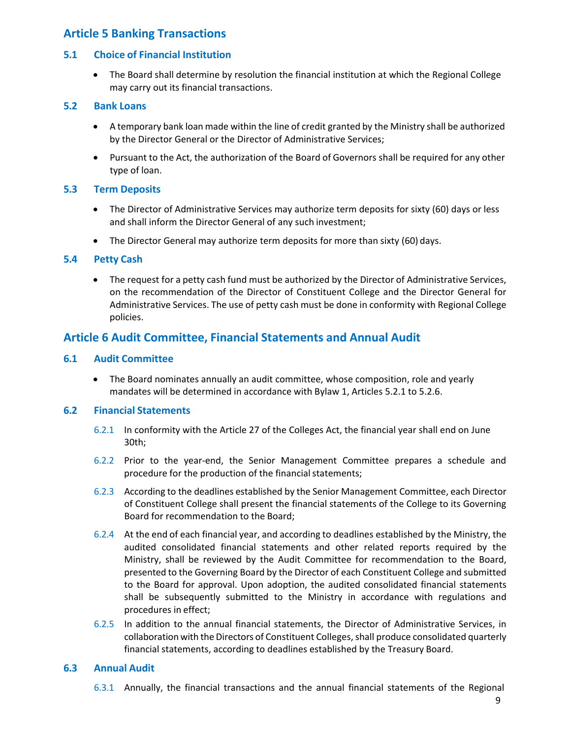## <span id="page-8-0"></span>**Article 5 Banking Transactions**

#### <span id="page-8-1"></span>**5.1 Choice of Financial Institution**

• The Board shall determine by resolution the financial institution at which the Regional College may carry out its financial transactions.

#### <span id="page-8-2"></span>**5.2 Bank Loans**

- A temporary bank loan made within the line of credit granted by the Ministry shall be authorized by the Director General or the Director of Administrative Services;
- Pursuant to the Act, the authorization of the Board of Governors shall be required for any other type of loan.

#### <span id="page-8-3"></span>**5.3 Term Deposits**

- The Director of Administrative Services may authorize term deposits for sixty (60) days or less and shall inform the Director General of any such investment;
- The Director General may authorize term deposits for more than sixty (60) days.

#### <span id="page-8-4"></span>**5.4 Petty Cash**

• The request for a petty cash fund must be authorized by the Director of Administrative Services, on the recommendation of the Director of Constituent College and the Director General for Administrative Services. The use of petty cash must be done in conformity with Regional College policies.

### <span id="page-8-5"></span>**Article 6 Audit Committee, Financial Statements and Annual Audit**

#### <span id="page-8-6"></span>**6.1 Audit Committee**

• The Board nominates annually an audit committee, whose composition, role and yearly mandates will be determined in accordance with Bylaw 1, Articles 5.2.1 to 5.2.6.

#### <span id="page-8-7"></span>**6.2 Financial Statements**

- 6.2.1 In conformity with the Article 27 of the Colleges Act, the financial year shall end on June 30th;
- 6.2.2 Prior to the year-end, the Senior Management Committee prepares a schedule and procedure for the production of the financial statements;
- 6.2.3 According to the deadlines established by the Senior Management Committee, each Director of Constituent College shall present the financial statements of the College to its Governing Board for recommendation to the Board;
- 6.2.4 At the end of each financial year, and according to deadlines established by the Ministry, the audited consolidated financial statements and other related reports required by the Ministry, shall be reviewed by the Audit Committee for recommendation to the Board, presented to the Governing Board by the Director of each Constituent College and submitted to the Board for approval. Upon adoption, the audited consolidated financial statements shall be subsequently submitted to the Ministry in accordance with regulations and procedures in effect;
- 6.2.5 In addition to the annual financial statements, the Director of Administrative Services, in collaboration with the Directors of Constituent Colleges, shall produce consolidated quarterly financial statements, according to deadlines established by the Treasury Board.

#### <span id="page-8-8"></span>**6.3 Annual Audit**

6.3.1 Annually, the financial transactions and the annual financial statements of the Regional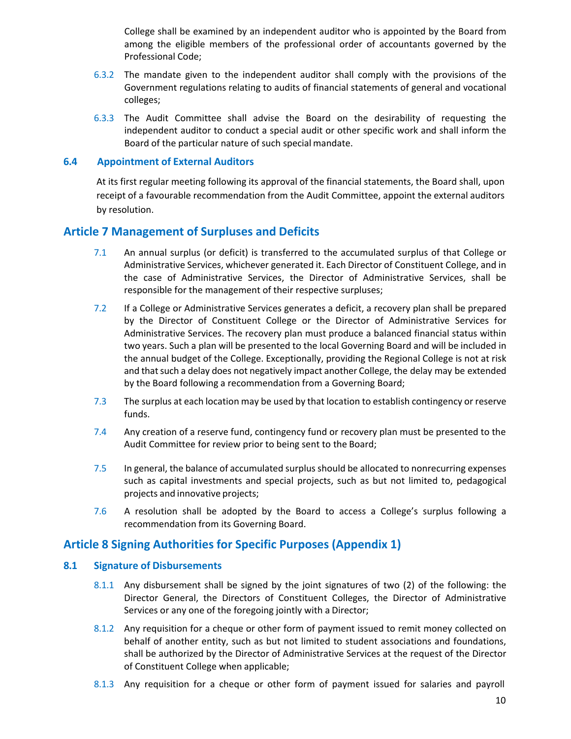College shall be examined by an independent auditor who is appointed by the Board from among the eligible members of the professional order of accountants governed by the Professional Code;

- 6.3.2 The mandate given to the independent auditor shall comply with the provisions of the Government regulations relating to audits of financial statements of general and vocational colleges;
- 6.3.3 The Audit Committee shall advise the Board on the desirability of requesting the independent auditor to conduct a special audit or other specific work and shall inform the Board of the particular nature of such special mandate.

#### <span id="page-9-0"></span>**6.4 Appointment of External Auditors**

At its first regular meeting following its approval of the financial statements, the Board shall, upon receipt of a favourable recommendation from the Audit Committee, appoint the external auditors by resolution.

#### <span id="page-9-1"></span>**Article 7 Management of Surpluses and Deficits**

- 7.1 An annual surplus (or deficit) is transferred to the accumulated surplus of that College or Administrative Services, whichever generated it. Each Director of Constituent College, and in the case of Administrative Services, the Director of Administrative Services, shall be responsible for the management of their respective surpluses;
- 7.2 If a College or Administrative Services generates a deficit, a recovery plan shall be prepared by the Director of Constituent College or the Director of Administrative Services for Administrative Services. The recovery plan must produce a balanced financial status within two years. Such a plan will be presented to the local Governing Board and will be included in the annual budget of the College. Exceptionally, providing the Regional College is not at risk and that such a delay does not negatively impact another College, the delay may be extended by the Board following a recommendation from a Governing Board;
- 7.3 The surplus at each location may be used by that location to establish contingency or reserve funds.
- 7.4 Any creation of a reserve fund, contingency fund or recovery plan must be presented to the Audit Committee for review prior to being sent to the Board;
- 7.5 In general, the balance of accumulated surplus should be allocated to nonrecurring expenses such as capital investments and special projects, such as but not limited to, pedagogical projects and innovative projects;
- 7.6 A resolution shall be adopted by the Board to access a College's surplus following a recommendation from its Governing Board.

#### <span id="page-9-2"></span>**Article 8 Signing Authorities for Specific Purposes (Appendix 1)**

#### <span id="page-9-3"></span>**8.1 Signature of Disbursements**

- 8.1.1 Any disbursement shall be signed by the joint signatures of two (2) of the following: the Director General, the Directors of Constituent Colleges, the Director of Administrative Services or any one of the foregoing jointly with a Director;
- 8.1.2 Any requisition for a cheque or other form of payment issued to remit money collected on behalf of another entity, such as but not limited to student associations and foundations, shall be authorized by the Director of Administrative Services at the request of the Director of Constituent College when applicable;
- 8.1.3 Any requisition for a cheque or other form of payment issued for salaries and payroll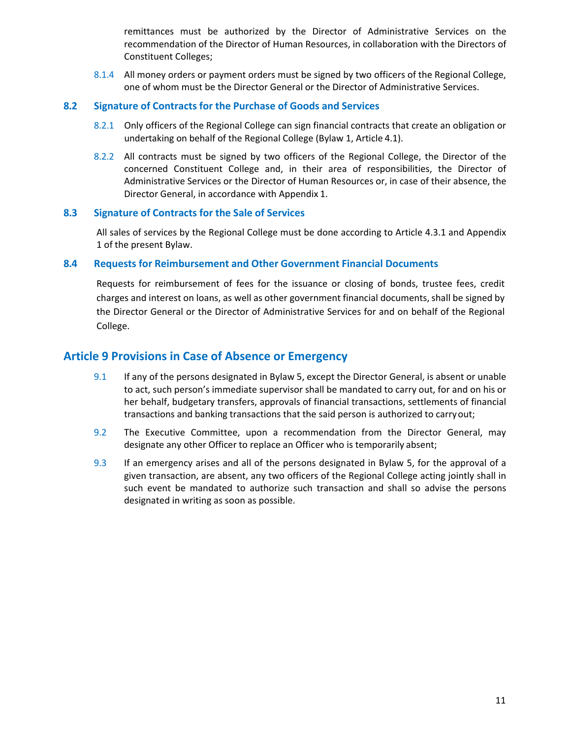remittances must be authorized by the Director of Administrative Services on the recommendation of the Director of Human Resources, in collaboration with the Directors of Constituent Colleges;

8.1.4 All money orders or payment orders must be signed by two officers of the Regional College, one of whom must be the Director General or the Director of Administrative Services.

#### <span id="page-10-0"></span>**8.2 Signature of Contracts for the Purchase of Goods and Services**

- 8.2.1 Only officers of the Regional College can sign financial contracts that create an obligation or undertaking on behalf of the Regional College (Bylaw 1, Article 4.1).
- 8.2.2 All contracts must be signed by two officers of the Regional College, the Director of the concerned Constituent College and, in their area of responsibilities, the Director of Administrative Services or the Director of Human Resources or, in case of their absence, the Director General, in accordance with Appendix 1.

#### <span id="page-10-1"></span>**8.3 Signature of Contracts for the Sale of Services**

All sales of services by the Regional College must be done according to Article 4.3.1 and Appendix 1 of the present Bylaw.

#### <span id="page-10-2"></span>**8.4 Requests for Reimbursement and Other Government Financial Documents**

Requests for reimbursement of fees for the issuance or closing of bonds, trustee fees, credit charges and interest on loans, as well as other government financial documents, shall be signed by the Director General or the Director of Administrative Services for and on behalf of the Regional College.

#### <span id="page-10-3"></span>**Article 9 Provisions in Case of Absence or Emergency**

- 9.1 If any of the persons designated in Bylaw 5, except the Director General, is absent or unable to act, such person's immediate supervisor shall be mandated to carry out, for and on his or her behalf, budgetary transfers, approvals of financial transactions, settlements of financial transactions and banking transactions that the said person is authorized to carryout;
- 9.2 The Executive Committee, upon a recommendation from the Director General, may designate any other Officer to replace an Officer who is temporarily absent;
- 9.3 If an emergency arises and all of the persons designated in Bylaw 5, for the approval of a given transaction, are absent, any two officers of the Regional College acting jointly shall in such event be mandated to authorize such transaction and shall so advise the persons designated in writing as soon as possible.